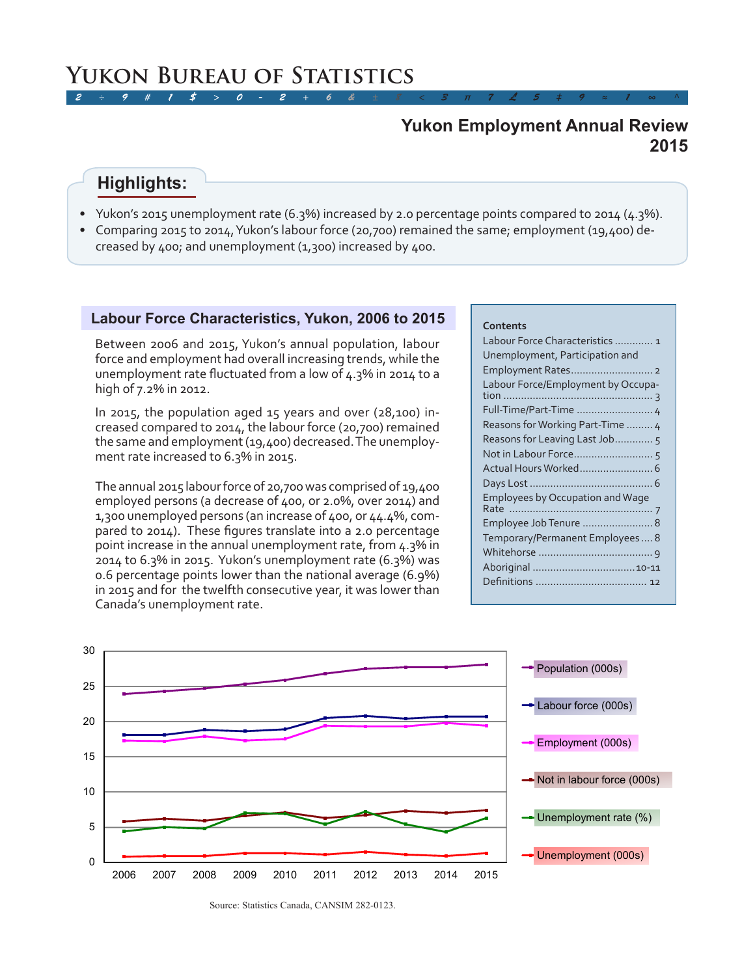# **2015 Yukon Employment Annual Review**

# **Highlights:**

- Yukon's 2015 unemployment rate (6.3%) increased by 2.0 percentage points compared to 2014 (4.3%).
- Comparing 2015 to 2014, Yukon's labour force (20,700) remained the same; employment (19,400) decreased by 400; and unemployment (1,300) increased by 400.

### **Labour Force Characteristics, Yukon, 2006 to 2015**

Between 2006 and 2015, Yukon's annual population, labour force and employment had overall increasing trends, while the unemployment rate fluctuated from a low of 4.3% in 2014 to a high of 7.2% in 2012.

In 2015, the population aged 15 years and over (28,100) increased compared to 2014, the labour force (20,700) remained the same and employment (19,400) decreased. The unemployment rate increased to 6.3% in 2015.

The annual 2015 labour force of 20,700 was comprised of 19,400 employed persons (a decrease of 400, or 2.0%, over 2014) and 1,300 unemployed persons (an increase of 400, or 44.4%, compared to 2014). These figures translate into a 2.0 percentage point increase in the annual unemployment rate, from 4.3% in 2014 to 6.3% in 2015. Yukon's unemployment rate (6.3%) was 0.6 percentage points lower than the national average (6.9%) in 2015 and for the twelfth consecutive year, it was lower than Canada's unemployment rate.

### **Contents**

| Labour Force Characteristics  1<br>Unemployment, Participation and |
|--------------------------------------------------------------------|
|                                                                    |
| Labour Force/Employment by Occupa-                                 |
| Full-Time/Part-Time  4                                             |
| Reasons for Working Part-Time  4                                   |
| Reasons for Leaving Last Job5                                      |
|                                                                    |
|                                                                    |
|                                                                    |
| <b>Employees by Occupation and Wage</b>                            |
|                                                                    |
| Employee Job Tenure  8                                             |
| Temporary/Permanent Employees 8                                    |
|                                                                    |
|                                                                    |
|                                                                    |
|                                                                    |



Source: Statistics Canada, CANSIM 282-0123.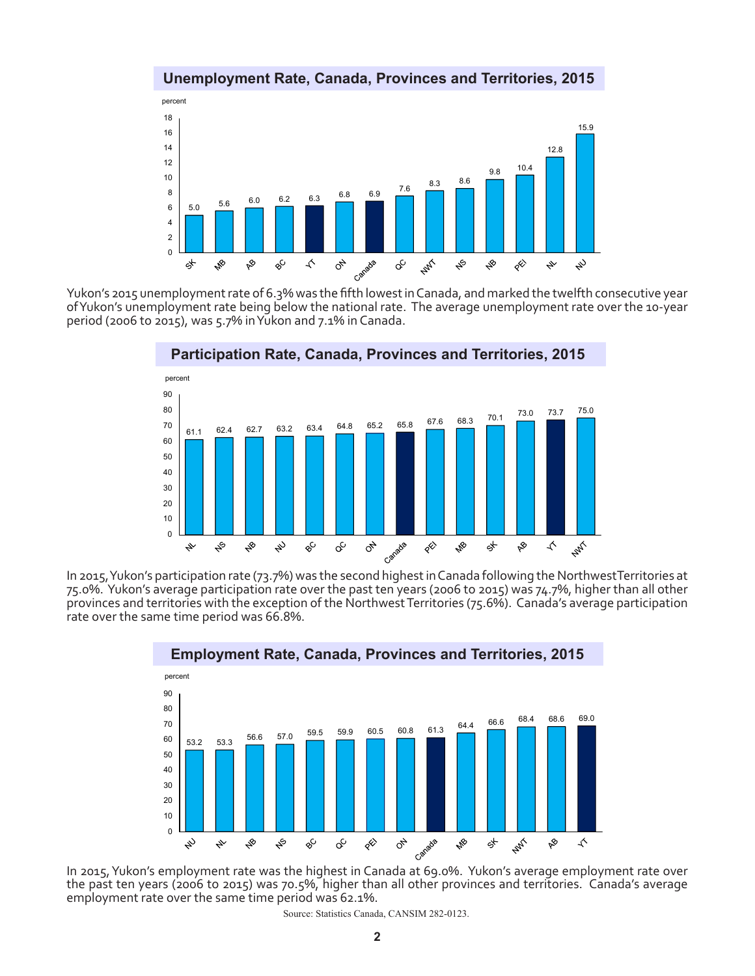### **Unemployment Rate, Canada, Provinces and Territories, 2015**



Yukon's 2015 unemployment rate of 6.3% was the fifth lowest in Canada, and marked the twelfth consecutive year of Yukon's unemployment rate being below the national rate. The average unemployment rate over the 10-year period (2006 to 2015), was 5.7% in Yukon and 7.1% in Canada.



In 2015, Yukon's participation rate (73.7%) was the second highest in Canada following the NorthwestTerritories at 75.0%. Yukon's average participation rate over the past ten years (2006 to 2015) was 74.7%, higher than all other provinces and territories with the exception of the Northwest Territories (75.6%). Canada's average participation rate over the same time period was 66.8%.



In 2015, Yukon's employment rate was the highest in Canada at 69.0%. Yukon's average employment rate over the past ten years (2006 to 2015) was 70.5%, higher than all other provinces and territories. Canada's average employment rate over the same time period was 62.1%.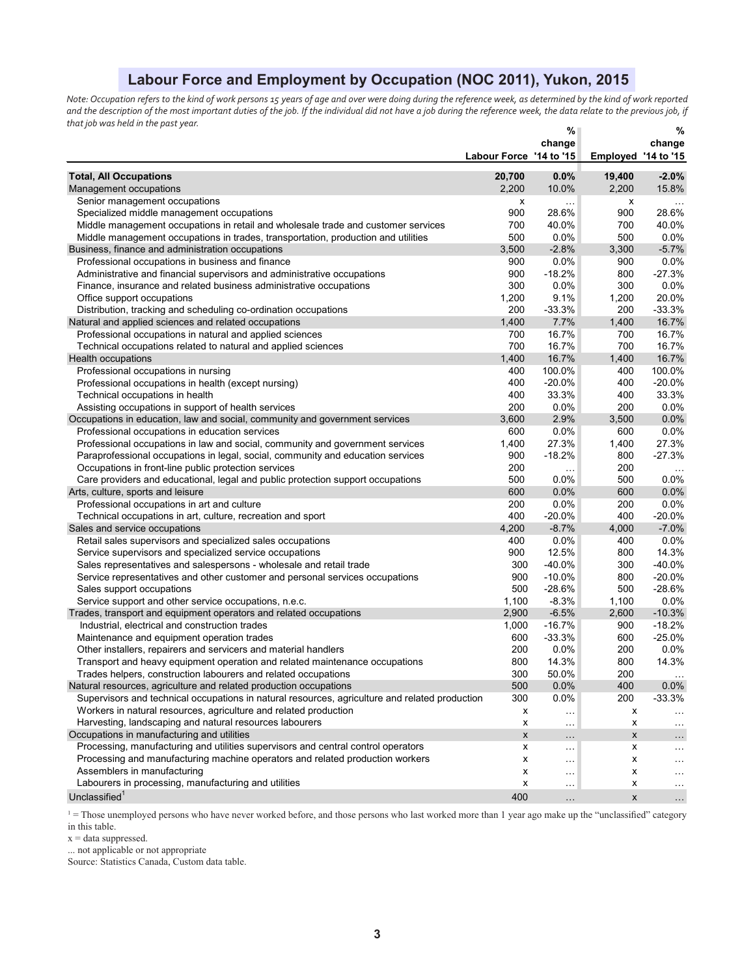# **Labour Force and Employment by Occupation (NOC 2011), Yukon, 2015**

*Note: Occupation refers to the kind of work persons 15 years of age and over were doing during the reference week, as determined by the kind of work reported*  and the description of the most important duties of the job. If the individual did not have a job during the reference week, the data relate to the previous job, if *that job was held in the past year.*  $\alpha =$ 

|                                                                                                |                         | %                    |                     | %                    |
|------------------------------------------------------------------------------------------------|-------------------------|----------------------|---------------------|----------------------|
|                                                                                                |                         | change               |                     | change               |
|                                                                                                | Labour Force '14 to '15 |                      | Employed '14 to '15 |                      |
| <b>Total, All Occupations</b>                                                                  | 20,700                  | 0.0%                 | 19,400              | $-2.0%$              |
| Management occupations                                                                         | 2,200                   | 10.0%                | 2,200               | 15.8%                |
| Senior management occupations                                                                  | x                       | $\sim$               | х                   |                      |
| Specialized middle management occupations                                                      | 900                     | 28.6%                | 900                 | 28.6%                |
| Middle management occupations in retail and wholesale trade and customer services              | 700                     | 40.0%                | 700                 | 40.0%                |
| Middle management occupations in trades, transportation, production and utilities              | 500                     | 0.0%                 | 500                 | 0.0%                 |
| Business, finance and administration occupations                                               | 3,500                   | $-2.8%$              | 3,300               | $-5.7%$              |
| Professional occupations in business and finance                                               | 900                     | 0.0%                 | 900                 | 0.0%                 |
| Administrative and financial supervisors and administrative occupations                        | 900                     | $-18.2%$             | 800                 | $-27.3%$             |
| Finance, insurance and related business administrative occupations                             | 300                     | 0.0%                 | 300                 | 0.0%                 |
| Office support occupations                                                                     | 1,200                   | 9.1%                 | 1,200               | 20.0%                |
| Distribution, tracking and scheduling co-ordination occupations                                | 200                     | $-33.3%$             | 200                 | $-33.3%$             |
| Natural and applied sciences and related occupations                                           | 1,400                   | 7.7%                 | 1,400               | 16.7%                |
| Professional occupations in natural and applied sciences                                       | 700                     | 16.7%                | 700                 | 16.7%                |
| Technical occupations related to natural and applied sciences                                  | 700                     | 16.7%                | 700                 | 16.7%                |
| Health occupations                                                                             | 1,400                   | 16.7%                | 1,400               | 16.7%                |
| Professional occupations in nursing                                                            | 400                     | 100.0%               | 400                 | 100.0%               |
| Professional occupations in health (except nursing)                                            | 400                     | $-20.0%$             | 400                 | $-20.0%$             |
| Technical occupations in health                                                                | 400                     | 33.3%                | 400                 | 33.3%                |
| Assisting occupations in support of health services                                            | 200                     | 0.0%                 | 200                 | 0.0%                 |
| Occupations in education, law and social, community and government services                    | 3,600                   | 2.9%                 | 3,500               | 0.0%                 |
| Professional occupations in education services                                                 | 600                     | 0.0%                 | 600                 | 0.0%                 |
| Professional occupations in law and social, community and government services                  | 1,400                   | 27.3%                | 1,400               | 27.3%                |
| Paraprofessional occupations in legal, social, community and education services                | 900                     | $-18.2%$             | 800                 | $-27.3%$             |
| Occupations in front-line public protection services                                           | 200                     | $\ldots$             | 200                 | $\cdots$             |
| Care providers and educational, legal and public protection support occupations                | 500                     | 0.0%                 | 500                 | 0.0%                 |
| Arts, culture, sports and leisure                                                              | 600                     | 0.0%                 | 600                 | $0.0\%$              |
| Professional occupations in art and culture                                                    | 200                     | 0.0%                 | 200                 | 0.0%                 |
| Technical occupations in art, culture, recreation and sport                                    | 400                     | $-20.0%$             | 400                 | $-20.0%$             |
| Sales and service occupations                                                                  | 4,200                   | $-8.7%$              | 4,000               | $-7.0%$              |
| Retail sales supervisors and specialized sales occupations                                     | 400                     | 0.0%                 | 400                 | 0.0%                 |
| Service supervisors and specialized service occupations                                        | 900                     | 12.5%                | 800                 | 14.3%                |
| Sales representatives and salespersons - wholesale and retail trade                            | 300                     | $-40.0\%$            | 300                 | $-40.0%$             |
| Service representatives and other customer and personal services occupations                   | 900                     | $-10.0%$             | 800                 | $-20.0%$             |
| Sales support occupations                                                                      | 500                     | $-28.6%$             | 500                 | $-28.6%$             |
| Service support and other service occupations, n.e.c.                                          | 1,100                   | $-8.3%$              | 1,100               | $0.0\%$              |
| Trades, transport and equipment operators and related occupations                              | 2,900                   | $-6.5%$              | 2,600               | $-10.3%$             |
| Industrial, electrical and construction trades                                                 | 1,000                   | $-16.7%$             | 900                 | $-18.2%$             |
| Maintenance and equipment operation trades                                                     | 600                     | $-33.3%$             | 600                 | $-25.0%$             |
| Other installers, repairers and servicers and material handlers                                | 200                     | 0.0%                 | 200                 | 0.0%                 |
| Transport and heavy equipment operation and related maintenance occupations                    | 800                     | 14.3%                | 800                 | 14.3%                |
| Trades helpers, construction labourers and related occupations                                 | 300                     | 50.0%                | 200                 |                      |
| Natural resources, agriculture and related production occupations                              | 500                     | 0.0%                 | 400                 | $0.0\%$              |
| Supervisors and technical occupations in natural resources, agriculture and related production | 300                     | 0.0%                 | 200                 | $-33.3%$             |
| Workers in natural resources, agriculture and related production                               | х                       | $\ldots$             | х                   | $\ddotsc$            |
| Harvesting, landscaping and natural resources labourers                                        | х                       | $\cdots$             | х                   | $\ddotsc$            |
| Occupations in manufacturing and utilities                                                     | X                       | $\ddotsc$            | X                   | $\cdots$             |
| Processing, manufacturing and utilities supervisors and central control operators              | x                       | $\cdots$             | x                   | $\cdots$             |
| Processing and manufacturing machine operators and related production workers                  | x                       | $\sim$ $\sim$ $\sim$ | x                   | .                    |
| Assemblers in manufacturing                                                                    | х                       | $\cdots$             | x                   | $\cdots$             |
| Labourers in processing, manufacturing and utilities                                           | x                       | $\sim$ $\sim$ $\sim$ | x                   | $\sim$ $\sim$ $\sim$ |
| Unclassified <sup>1</sup>                                                                      | 400                     | $\ldots$             | X                   | $\sim$ $\sim$        |

 $1 =$  Those unemployed persons who have never worked before, and those persons who last worked more than 1 year ago make up the "unclassified" category in this table.

 $x = data$  suppressed.

... not applicable or not appropriate

Source: Statistics Canada, Custom data table.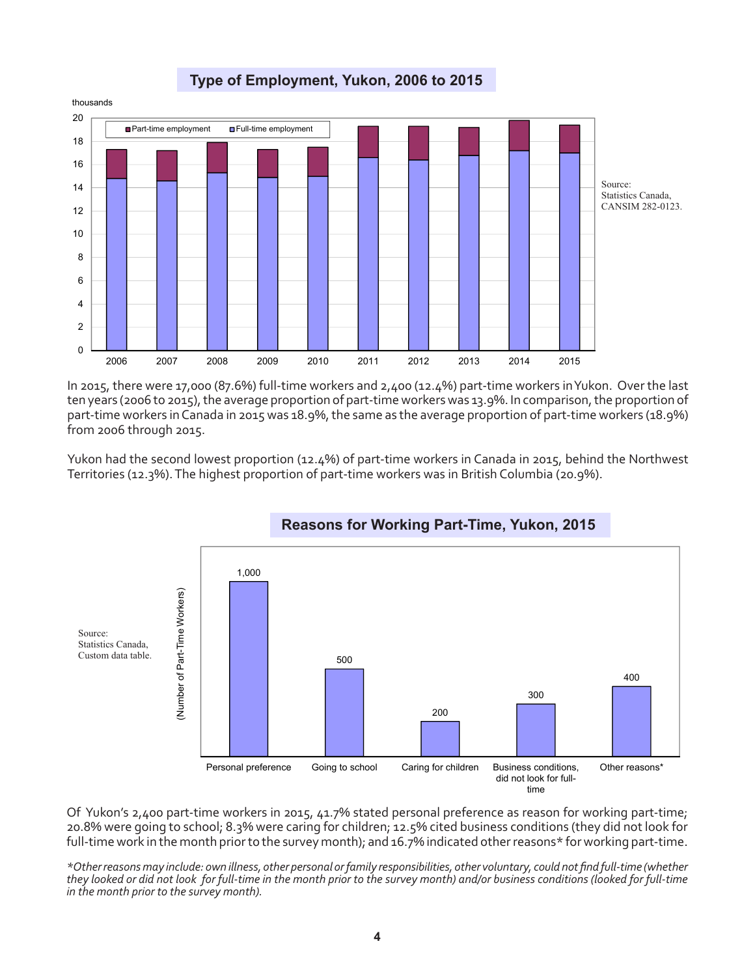**Type of Employment, Yukon, 2006 to 2015**



In 2015, there were 17,000 (87.6%) full-time workers and 2,400 (12.4%) part-time workers in Yukon. Over the last ten years (2006 to 2015), the average proportion of part-time workers was 13.9%. In comparison, the proportion of part-time workers in Canada in 2015 was 18.9%, the same as the average proportion of part-time workers (18.9%) from 2006 through 2015.

Yukon had the second lowest proportion (12.4%) of part-time workers in Canada in 2015, behind the Northwest Territories (12.3%). The highest proportion of part-time workers was in British Columbia (20.9%).



Of Yukon's 2,400 part-time workers in 2015, 41.7% stated personal preference as reason for working part-time; 20.8% were going to school; 8.3% were caring for children; 12.5% cited business conditions (they did not look for full-time work in the month prior to the survey month); and 16.7% indicated other reasons\* for working part-time.

*\*Other reasons may include: own illness, other personal or family responsibilities, other voluntary, could not find full-time (whether they looked or did not look for full-time in the month prior to the survey month) and/or business conditions (looked for full-time in the month prior to the survey month).*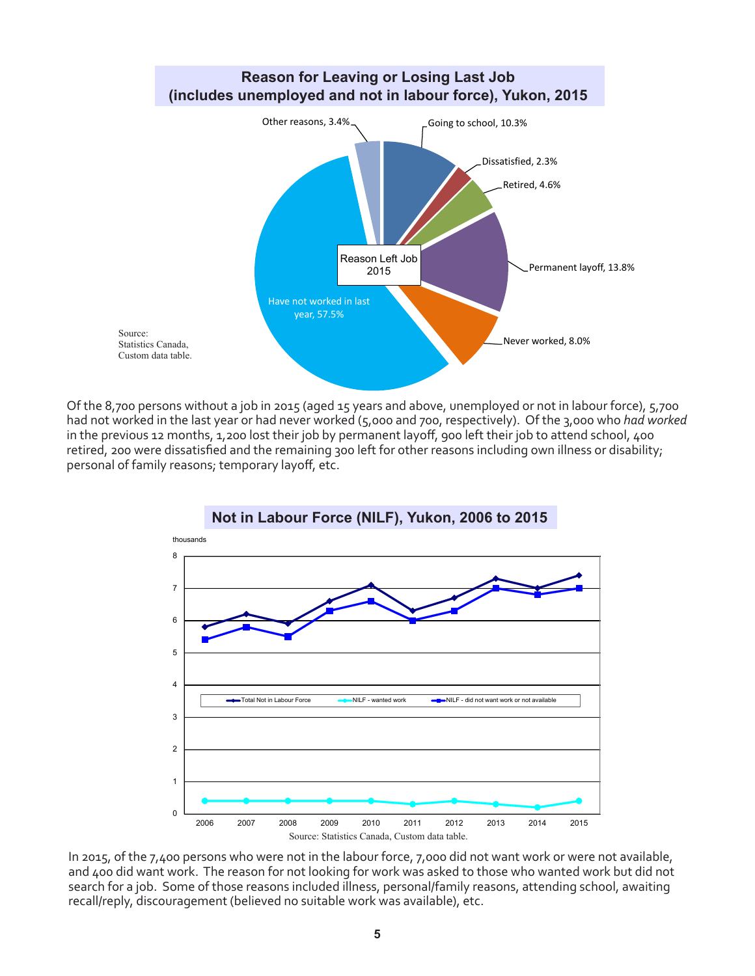

Of the 8,700 persons without a job in 2015 (aged 15 years and above, unemployed or not in labour force), 5,700 had not worked in the last year or had never worked (5,000 and 700, respectively). Of the 3,000 who *had worked*  in the previous 12 months, 1,200 lost their job by permanent layoff, 900 left their job to attend school, 400 retired, 200 were dissatisfied and the remaining 300 left for other reasons including own illness or disability; personal of family reasons; temporary layoff, etc.



In 2015, of the 7,400 persons who were not in the labour force, 7,000 did not want work or were not available, and 400 did want work. The reason for not looking for work was asked to those who wanted work but did not search for a job. Some of those reasons included illness, personal/family reasons, attending school, awaiting recall/reply, discouragement (believed no suitable work was available), etc.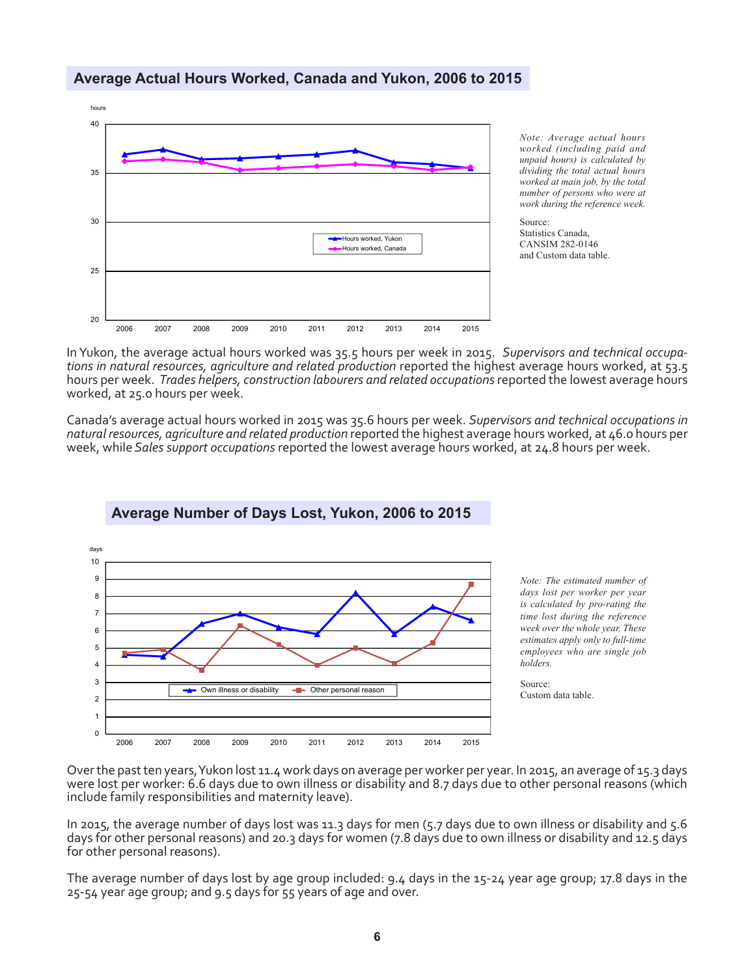

**Average Number of Days Lost, Yukon, 2006 to 2015**

### **Average Actual Hours Worked, Canada and Yukon, 2006 to 2015**

*Note: Average actual hours worked (including paid and unpaid hours) is calculated by dividing the total actual hours worked at main job, by the total number of persons who were at work during the reference week.*

Source: Statistics Canada, CANSIM 282-0146 and Custom data table.

In Yukon, the average actual hours worked was 35.5 hours per week in 2015. *Supervisors and technical occupations in natural resources, agriculture and related production reported the highest average hours worked, at 53.5* hours per week. *Trades helpers, construction labourers and related occupations* reported the lowest average hours worked, at 25.0 hours per week.

Canada's average actual hours worked in 2015 was 35.6 hours per week. *Supervisors and technical occupations in natural resources, agriculture and related production* reported the highest average hours worked, at 46.0 hours per week, while *Sales support occupations* reported the lowest average hours worked, at 24.8 hours per week.



# Over the past ten years, Yukon lost 11.4 work days on average per worker per year. In 2015, an average of 15.3 days were lost per worker: 6.6 days due to own illness or disability and 8.7 days due to other personal reasons (which

include family responsibilities and maternity leave). In 2015, the average number of days lost was 11.3 days for men (5.7 days due to own illness or disability and 5.6 days for other personal reasons) and 20.3 days for women (7.8 days due to own illness or disability and 12.5 days

for other personal reasons).

The average number of days lost by age group included: 9.4 days in the 15-24 year age group; 17.8 days in the 25-54 year age group; and 9.5 days for 55 years of age and over.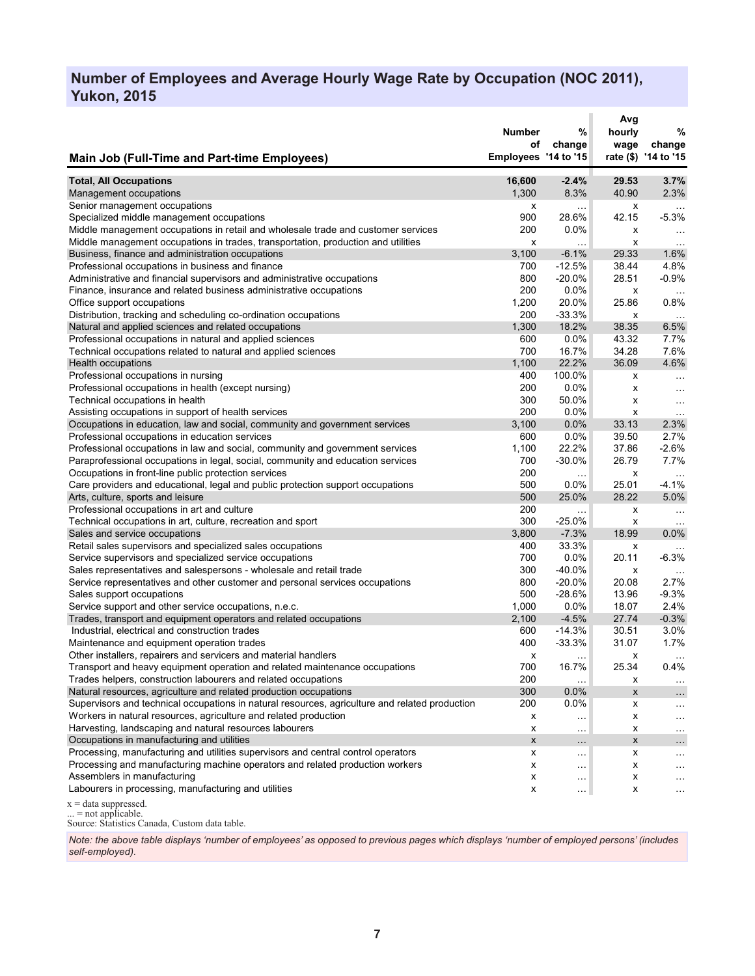# **Number of Employees and Average Hourly Wage Rate by Occupation (NOC 2011), Yukon, 2015**

|                                                                                                                                 | <b>Number</b><br>οf  | %<br>change          | Avg<br>hourly<br>wage | %<br>change          |
|---------------------------------------------------------------------------------------------------------------------------------|----------------------|----------------------|-----------------------|----------------------|
| <b>Main Job (Full-Time and Part-time Employees)</b>                                                                             | Employees '14 to '15 |                      |                       | rate (\$) '14 to '15 |
| <b>Total, All Occupations</b>                                                                                                   | 16,600               | $-2.4%$              | 29.53                 | 3.7%                 |
| Management occupations                                                                                                          | 1,300                | 8.3%                 | 40.90                 | 2.3%                 |
| Senior management occupations                                                                                                   | х                    | .                    | х                     | $\ldots$             |
| Specialized middle management occupations                                                                                       | 900                  | 28.6%                | 42.15                 | $-5.3%$              |
| Middle management occupations in retail and wholesale trade and customer services                                               | 200                  | $0.0\%$              | x                     | $\ldots$             |
| Middle management occupations in trades, transportation, production and utilities                                               | x                    | .                    | x                     | $\ddotsc$            |
| Business, finance and administration occupations                                                                                | 3,100                | $-6.1%$              | 29.33                 | 1.6%                 |
| Professional occupations in business and finance                                                                                | 700                  | $-12.5%$             | 38.44                 | 4.8%                 |
| Administrative and financial supervisors and administrative occupations                                                         | 800                  | -20.0%               | 28.51                 | $-0.9%$              |
| Finance, insurance and related business administrative occupations                                                              | 200                  | 0.0%                 | х                     |                      |
| Office support occupations                                                                                                      | 1,200                | 20.0%                | 25.86                 | $0.8\%$              |
| Distribution, tracking and scheduling co-ordination occupations                                                                 | 200                  | -33.3%               | х                     | $\ldots$             |
| Natural and applied sciences and related occupations                                                                            | 1,300                | 18.2%                | 38.35                 | 6.5%                 |
| Professional occupations in natural and applied sciences                                                                        | 600                  | 0.0%                 | 43.32                 | 7.7%                 |
| Technical occupations related to natural and applied sciences                                                                   | 700                  | 16.7%                | 34.28                 | 7.6%                 |
| <b>Health occupations</b>                                                                                                       | 1,100                | 22.2%                | 36.09                 | 4.6%                 |
| Professional occupations in nursing                                                                                             | 400                  | 100.0%               | x                     | $\cdots$             |
| Professional occupations in health (except nursing)                                                                             | 200                  | 0.0%                 | x                     | $\cdots$             |
| Technical occupations in health                                                                                                 | 300                  | 50.0%                | x                     | $\ldots$             |
| Assisting occupations in support of health services                                                                             | 200                  | $0.0\%$              | x                     | $\cdots$             |
| Occupations in education, law and social, community and government services                                                     | 3,100<br>600         | 0.0%<br>0.0%         | 33.13<br>39.50        | 2.3%<br>2.7%         |
| Professional occupations in education services<br>Professional occupations in law and social, community and government services | 1,100                | 22.2%                | 37.86                 | $-2.6%$              |
| Paraprofessional occupations in legal, social, community and education services                                                 | 700                  | -30.0%               | 26.79                 | 7.7%                 |
| Occupations in front-line public protection services                                                                            | 200                  |                      | x                     |                      |
| Care providers and educational, legal and public protection support occupations                                                 | 500                  | $\ldots$<br>0.0%     | 25.01                 | $-4.1%$              |
| Arts, culture, sports and leisure                                                                                               | 500                  | 25.0%                | 28.22                 | 5.0%                 |
| Professional occupations in art and culture                                                                                     | 200                  | $\cdots$             | x                     | $\ldots$             |
| Technical occupations in art, culture, recreation and sport                                                                     | 300                  | -25.0%               | х                     | $\sim$ .             |
| Sales and service occupations                                                                                                   | 3,800                | $-7.3%$              | 18.99                 | 0.0%                 |
| Retail sales supervisors and specialized sales occupations                                                                      | 400                  | 33.3%                | x                     |                      |
| Service supervisors and specialized service occupations                                                                         | 700                  | 0.0%                 | 20.11                 | $-6.3%$              |
| Sales representatives and salespersons - wholesale and retail trade                                                             | 300                  | -40.0%               | x                     | $\cdots$             |
| Service representatives and other customer and personal services occupations                                                    | 800                  | $-20.0\%$            | 20.08                 | 2.7%                 |
| Sales support occupations                                                                                                       | 500                  | $-28.6%$             | 13.96                 | $-9.3%$              |
| Service support and other service occupations, n.e.c.                                                                           | 1,000                | 0.0%                 | 18.07                 | 2.4%                 |
| Trades, transport and equipment operators and related occupations                                                               | 2,100                | $-4.5%$              | 27.74                 | $-0.3%$              |
| Industrial, electrical and construction trades                                                                                  | 600                  | $-14.3%$             | 30.51                 | 3.0%                 |
| Maintenance and equipment operation trades                                                                                      | 400                  | $-33.3%$             | 31.07                 | 1.7%                 |
| Other installers, repairers and servicers and material handlers                                                                 | x                    | $\sim$ $\sim$ $\sim$ | x                     | $\cdots$             |
| Transport and heavy equipment operation and related maintenance occupations                                                     | 700                  | 16.7%                | 25.34                 | 0.4%                 |
| Trades helpers, construction labourers and related occupations                                                                  | 200                  | $\cdots$             | х                     | $\cdots$             |
| Natural resources, agriculture and related production occupations                                                               | 300                  | 0.0%                 | X                     | $\cdots$             |
| Supervisors and technical occupations in natural resources, agriculture and related production                                  | 200                  | $0.0\%$              | x                     |                      |
| Workers in natural resources, agriculture and related production                                                                | x                    | $\ddotsc$            | x                     | .                    |
| Harvesting, landscaping and natural resources labourers                                                                         | x                    | $\ldots$             | х                     | $\cdots$             |
| Occupations in manufacturing and utilities                                                                                      | x                    | $\sim$ $\sim$ $\sim$ | X                     | $\sim$ - $\sim$      |
| Processing, manufacturing and utilities supervisors and central control operators                                               | x                    | $\cdots$             | x                     | $\cdots$             |
| Processing and manufacturing machine operators and related production workers                                                   | x                    | $\sim$ $\sim$ $\sim$ | x                     | $\cdots$             |
| Assemblers in manufacturing                                                                                                     | x                    | $\cdots$             | x                     | .                    |
| Labourers in processing, manufacturing and utilities                                                                            | x                    | $\sim$ $\sim$        | x                     | .                    |
| $x = data$ suppressed.                                                                                                          |                      |                      |                       |                      |

... = not applicable.

Source: Statistics Canada, Custom data table.

*Note: the above table displays 'number of employees' as opposed to previous pages which displays 'number of employed persons' (includes self-employed).*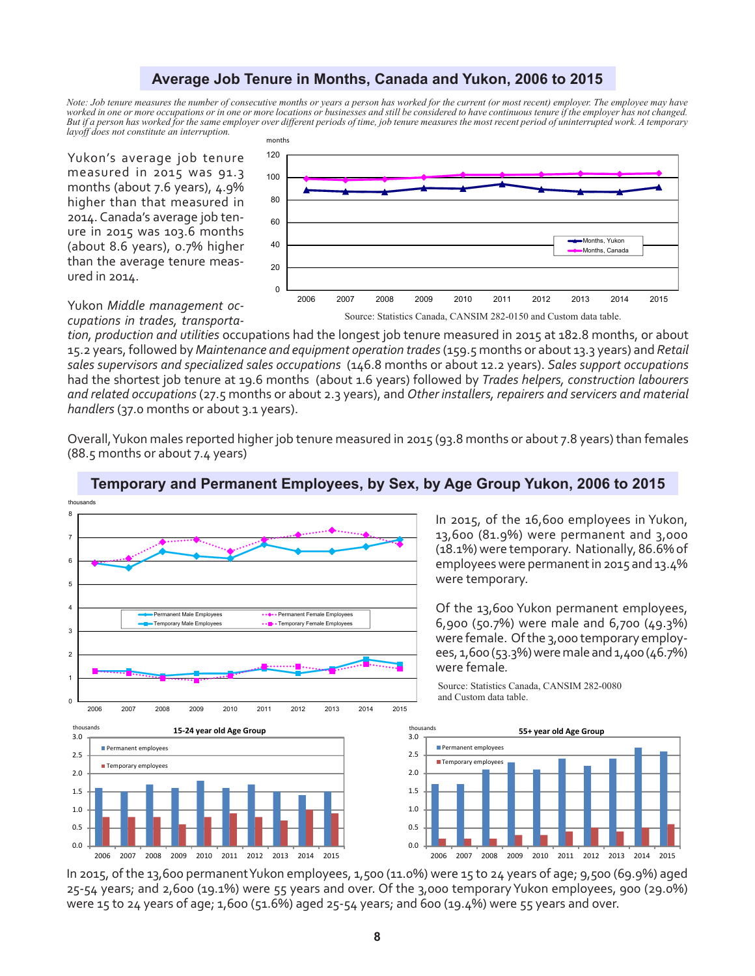### **Average Job Tenure in Months, Canada and Yukon, 2006 to 2015**

*Note: Job tenure measures the number of consecutive months or years a person has worked for the current (or most recent) employer. The employee may have worked in one or more occupations or in one or more locations or businesses and still be considered to have continuous tenure if the employer has not changed. But if a person has worked for the same employer over different periods of time, job tenure measures the most recent period of uninterrupted work. A temporary layoff does not constitute an interruption.*

Yukon's average job tenure measured in 2015 was 91.3 months (about 7.6 years), 4.9% higher than that measured in 2014. Canada's average job tenure in 2015 was 103.6 months (about 8.6 years), 0.7% higher than the average tenure measured in 2014.



Yukon *Middle management occupations in trades, transporta-*

*tion, production and utilities* occupations had the longest job tenure measured in 2015 at 182.8 months, or about 15.2 years, followed by *Maintenance and equipment operation trades* (159.5 months or about 13.3 years) and *Retail sales supervisors and specialized sales occupations* (146.8 months or about 12.2 years). *Sales support occupations* had the shortest job tenure at 19.6 months (about 1.6 years) followed by *Trades helpers, construction labourers and related occupations* (27.5 months or about 2.3 years), and *Other installers, repairers and servicers and material handlers* (37.0 months or about 3.1 years).

Overall, Yukon males reported higher job tenure measured in 2015 (93.8 months or about 7.8 years) than females (88.5 months or about 7.4 years)



### **Temporary and Permanent Employees, by Sex, by Age Group Yukon, 2006 to 2015**

In 2015, of the 16,600 employees in Yukon, 13,600 (81.9%) were permanent and 3,000 (18.1%) were temporary. Nationally, 86.6% of employees were permanent in 2015 and 13.4% were temporary.

Of the 13,600 Yukon permanent employees, 6,900 (50.7%) were male and 6,700 (49.3%) were female. Of the 3,000 temporary employees, 1,600 (53.3%) were male and 1,400 (46.7%) were female*.* 

Source: Statistics Canada, CANSIM 282-0080 and Custom data table.



In 2015, of the 13,600 permanent Yukon employees, 1,500 (11.0%) were 15 to 24 years of age; 9,500 (69.9%) aged 25-54 years; and 2,600 (19.1%) were 55 years and over. Of the 3,000 temporary Yukon employees, 900 (29.0%) were 15 to 24 years of age; 1,600 (51.6%) aged 25-54 years; and 600 (19.4%) were 55 years and over.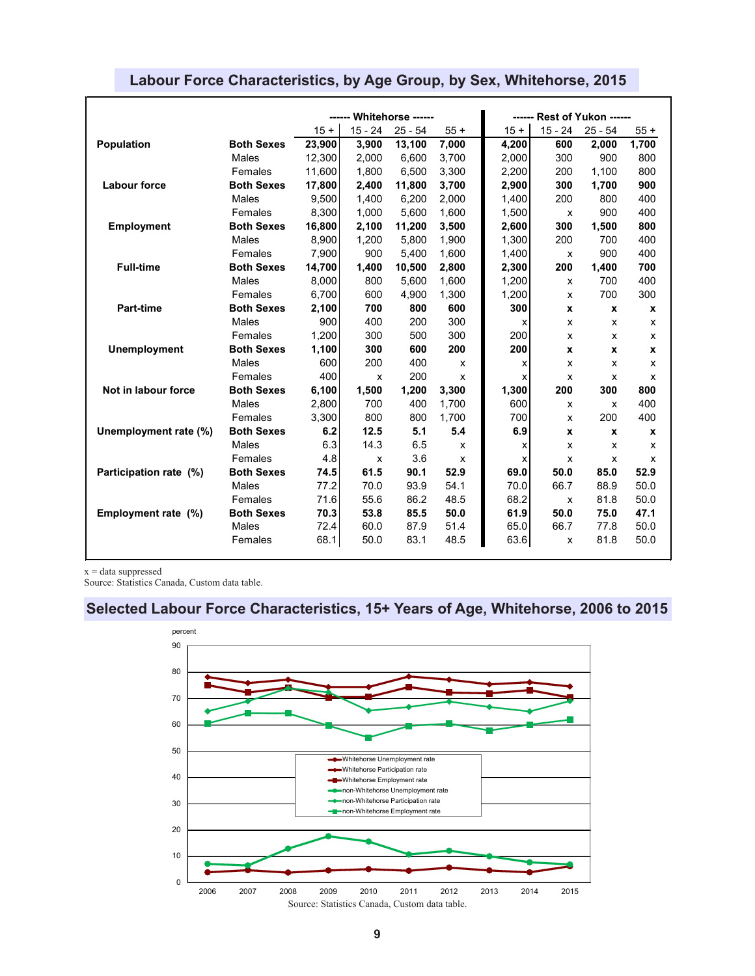|                        |                   | ------ Whitehorse ------ |           |           |       | ------ Rest of Yukon ------ |                    |           |       |
|------------------------|-------------------|--------------------------|-----------|-----------|-------|-----------------------------|--------------------|-----------|-------|
|                        |                   | $15 +$                   | $15 - 24$ | $25 - 54$ | $55+$ | $15 +$                      | $15 - 24$          | $25 - 54$ | $55+$ |
| <b>Population</b>      | <b>Both Sexes</b> | 23,900                   | 3,900     | 13,100    | 7,000 | 4,200                       | 600                | 2,000     | 1,700 |
|                        | <b>Males</b>      | 12,300                   | 2,000     | 6,600     | 3,700 | 2,000                       | 300                | 900       | 800   |
|                        | Females           | 11.600                   | 1.800     | 6.500     | 3,300 | 2,200                       | 200                | 1.100     | 800   |
| <b>Labour force</b>    | <b>Both Sexes</b> | 17,800                   | 2,400     | 11,800    | 3,700 | 2,900                       | 300                | 1,700     | 900   |
|                        | Males             | 9.500                    | 1.400     | 6.200     | 2,000 | 1,400                       | 200                | 800       | 400   |
|                        | Females           | 8,300                    | 1,000     | 5.600     | 1,600 | 1,500                       | X                  | 900       | 400   |
| <b>Employment</b>      | <b>Both Sexes</b> | 16,800                   | 2,100     | 11,200    | 3,500 | 2,600                       | 300                | 1,500     | 800   |
|                        | <b>Males</b>      | 8,900                    | 1,200     | 5.800     | 1,900 | 1,300                       | 200                | 700       | 400   |
|                        | Females           | 7,900                    | 900       | 5,400     | 1,600 | 1,400                       | X                  | 900       | 400   |
| <b>Full-time</b>       | <b>Both Sexes</b> | 14,700                   | 1,400     | 10,500    | 2,800 | 2,300                       | 200                | 1,400     | 700   |
|                        | Males             | 8,000                    | 800       | 5.600     | 1,600 | 1,200                       | X                  | 700       | 400   |
|                        | Females           | 6,700                    | 600       | 4,900     | 1,300 | 1,200                       | X                  | 700       | 300   |
| Part-time              | <b>Both Sexes</b> | 2,100                    | 700       | 800       | 600   | 300                         | X                  | X         | X     |
|                        | <b>Males</b>      | 900                      | 400       | 200       | 300   | x                           | X                  | X         | X     |
|                        | Females           | 1,200                    | 300       | 500       | 300   | 200                         | X                  | X         | X     |
| <b>Unemployment</b>    | <b>Both Sexes</b> | 1,100                    | 300       | 600       | 200   | 200                         | X                  | X         | X     |
|                        | Males             | 600                      | 200       | 400       | X     | x                           | X                  | X         | X     |
|                        | Females           | 400                      | х         | 200       | X     | x                           | х                  | x         | x     |
| Not in labour force    | <b>Both Sexes</b> | 6,100                    | 1,500     | 1,200     | 3,300 | 1,300                       | 200                | 300       | 800   |
|                        | <b>Males</b>      | 2,800                    | 700       | 400       | 1,700 | 600                         | X                  | x         | 400   |
|                        | Females           | 3,300                    | 800       | 800       | 1,700 | 700                         | X                  | 200       | 400   |
| Unemployment rate (%)  | <b>Both Sexes</b> | 6.2                      | 12.5      | 5.1       | 5.4   | 6.9                         | $\pmb{\mathsf{x}}$ | X         | x     |
|                        | Males             | 6.3                      | 14.3      | 6.5       | X     | x                           | X                  | X         | x     |
|                        | Females           | 4.8                      | X         | 3.6       | X     | x                           | X                  | X         | X     |
| Participation rate (%) | <b>Both Sexes</b> | 74.5                     | 61.5      | 90.1      | 52.9  | 69.0                        | 50.0               | 85.0      | 52.9  |
|                        | <b>Males</b>      | 77.2                     | 70.0      | 93.9      | 54.1  | 70.0                        | 66.7               | 88.9      | 50.0  |
|                        | Females           | 71.6                     | 55.6      | 86.2      | 48.5  | 68.2                        | X                  | 81.8      | 50.0  |
| Employment rate (%)    | <b>Both Sexes</b> | 70.3                     | 53.8      | 85.5      | 50.0  | 61.9                        | 50.0               | 75.0      | 47.1  |
|                        | <b>Males</b>      | 72.4                     | 60.0      | 87.9      | 51.4  | 65.0                        | 66.7               | 77.8      | 50.0  |
|                        | Females           | 68.1                     | 50.0      | 83.1      | 48.5  | 63.6                        | X                  | 81.8      | 50.0  |

## **Labour Force Characteristics, by Age Group, by Sex, Whitehorse, 2015**

 $x = data$  suppressed

Source: Statistics Canada, Custom data table.

# **Selected Labour Force Characteristics, 15+ Years of Age, Whitehorse, 2006 to 2015**

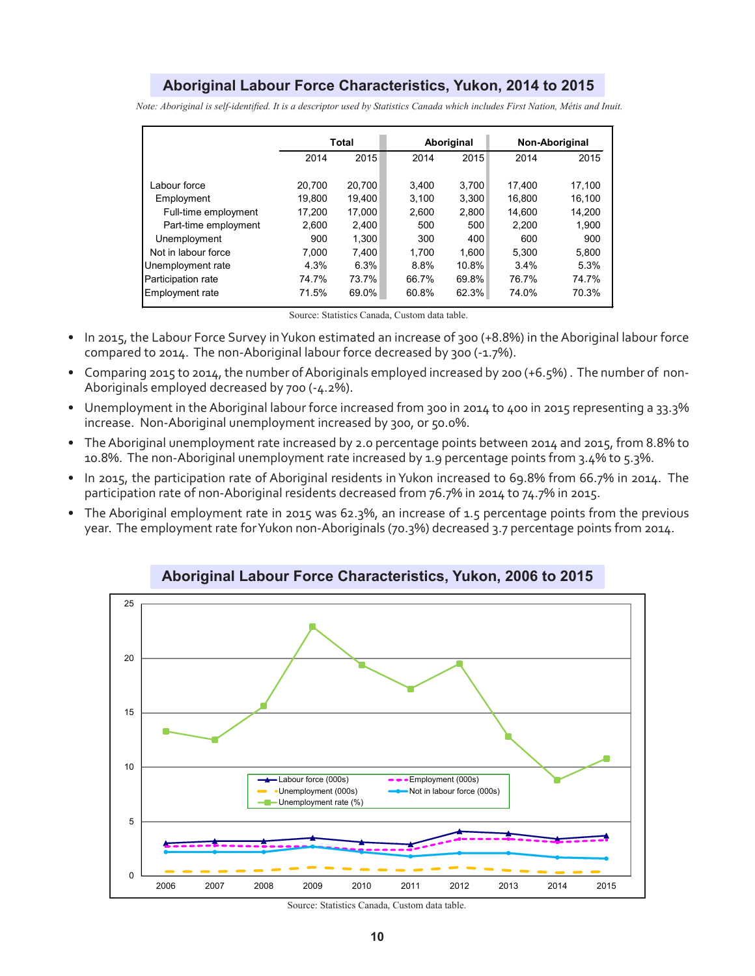### **Aboriginal Labour Force Characteristics, Yukon, 2014 to 2015**

*Note: Aboriginal is self-identified. It is a descriptor used by Statistics Canada which includes First Nation, Métis and Inuit.*

|                      | <b>Total</b> |        | Aboriginal |       | Non-Aboriginal |        |
|----------------------|--------------|--------|------------|-------|----------------|--------|
|                      | 2014         | 2015   | 2014       | 2015  | 2014           | 2015   |
|                      |              |        |            |       |                |        |
| Labour force         | 20.700       | 20.700 | 3.400      | 3.700 | 17.400         | 17.100 |
| Employment           | 19.800       | 19.400 | 3.100      | 3.300 | 16.800         | 16.100 |
| Full-time employment | 17.200       | 17.000 | 2.600      | 2,800 | 14.600         | 14.200 |
| Part-time employment | 2.600        | 2.400  | 500        | 500   | 2.200          | 1,900  |
| Unemployment         | 900          | 1.300  | 300        | 400   | 600            | 900    |
| Not in labour force  | 7.000        | 7.400  | 1.700      | 1.600 | 5.300          | 5.800  |
| Unemployment rate    | 4.3%         | 6.3%   | 8.8%       | 10.8% | 3.4%           | 5.3%   |
| Participation rate   | 74.7%        | 73.7%  | 66.7%      | 69.8% | 76.7%          | 74.7%  |
| Employment rate      | 71.5%        | 69.0%  | 60.8%      | 62.3% | 74.0%          | 70.3%  |

Source: Statistics Canada, Custom data table.

- In 2015, the Labour Force Survey in Yukon estimated an increase of 300 (+8.8%) in the Aboriginal labour force compared to 2014. The non-Aboriginal labour force decreased by 300 (-1.7%).
- Comparing 2015 to 2014, the number of Aboriginals employed increased by 200 (+6.5%) . The number of non-Aboriginals employed decreased by 700 (-4.2%).
- Unemployment in the Aboriginal labour force increased from 300 in 2014 to 400 in 2015 representing a 33.3% increase. Non-Aboriginal unemployment increased by 300, or 50.0%.
- The Aboriginal unemployment rate increased by 2.0 percentage points between 2014 and 2015, from 8.8% to 10.8%. The non-Aboriginal unemployment rate increased by 1.9 percentage points from 3.4% to 5.3%.
- In 2015, the participation rate of Aboriginal residents in Yukon increased to 69.8% from 66.7% in 2014. The participation rate of non-Aboriginal residents decreased from 76.7% in 2014 to 74.7% in 2015.
- The Aboriginal employment rate in 2015 was 62.3%, an increase of 1.5 percentage points from the previous year. The employment rate for Yukon non-Aboriginals (70.3%) decreased 3.7 percentage points from 2014.



**Aboriginal Labour Force Characteristics, Yukon, 2006 to 2015**

Source: Statistics Canada, Custom data table.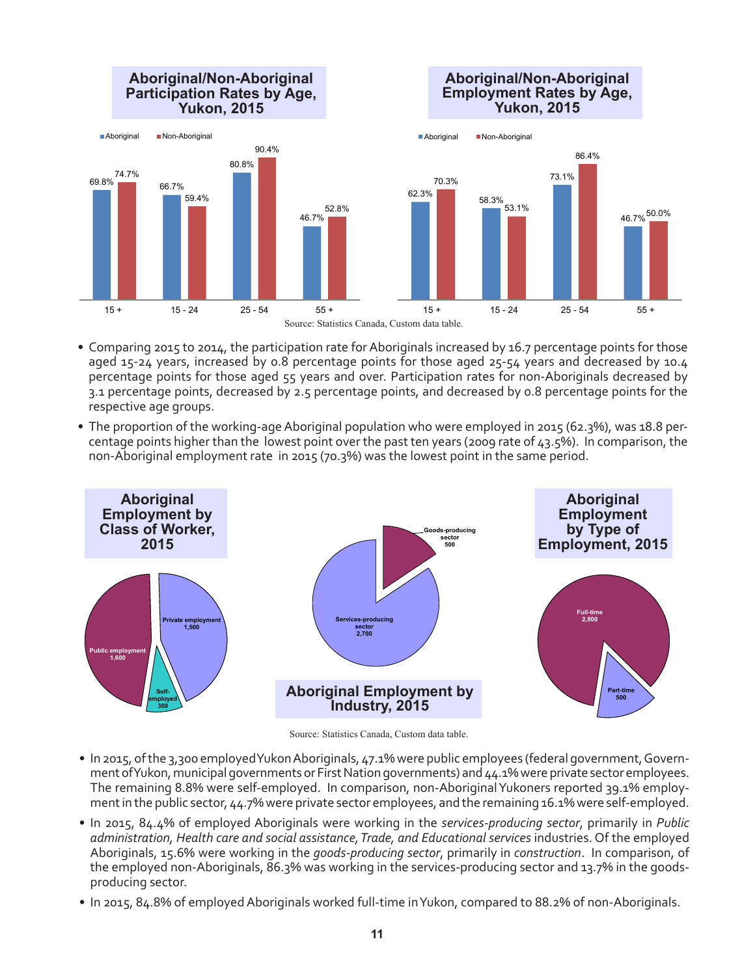

- Comparing 2015 to 2014, the participation rate for Aboriginals increased by 16.7 percentage points for those aged 15-24 years, increased by 0.8 percentage points for those aged 25-54 years and decreased by 10.4 percentage points for those aged 55 years and over. Participation rates for non-Aboriginals decreased by 3.1 percentage points, decreased by 2.5 percentage points, and decreased by 0.8 percentage points for the respective age groups.
- The proportion of the working-age Aboriginal population who were employed in 2015 (62.3%), was 18.8 percentage points higher than the lowest point over the past ten years (2009 rate of 43.5%). In comparison, the non-Aboriginal employment rate in 2015 (70.3%) was the lowest point in the same period.



Source: Statistics Canada, Custom data table.

- In 2015, of the 3,300 employed Yukon Aboriginals, 47.1% were public employees (federal government, Government of Yukon, municipal governments or First Nation governments) and 44.1% were private sector employees. The remaining 8.8% were self-employed. In comparison, non-Aboriginal Yukoners reported 39.1% employment in the public sector, 44.7% were private sector employees, and the remaining 16.1% were self-employed.
- In 2015, 84.4% of employed Aboriginals were working in the *services-producing sector*, primarily in *Public administration, Health care and social assistance, Trade, and Educational services* industries. Of the employed Aboriginals, 15.6% were working in the *goods-producing sector*, primarily in *construction*. In comparison, of the employed non-Aboriginals, 86.3% was working in the services-producing sector and 13.7% in the goodsproducing sector.
- In 2015, 84.8% of employed Aboriginals worked full-time in Yukon, compared to 88.2% of non-Aboriginals.